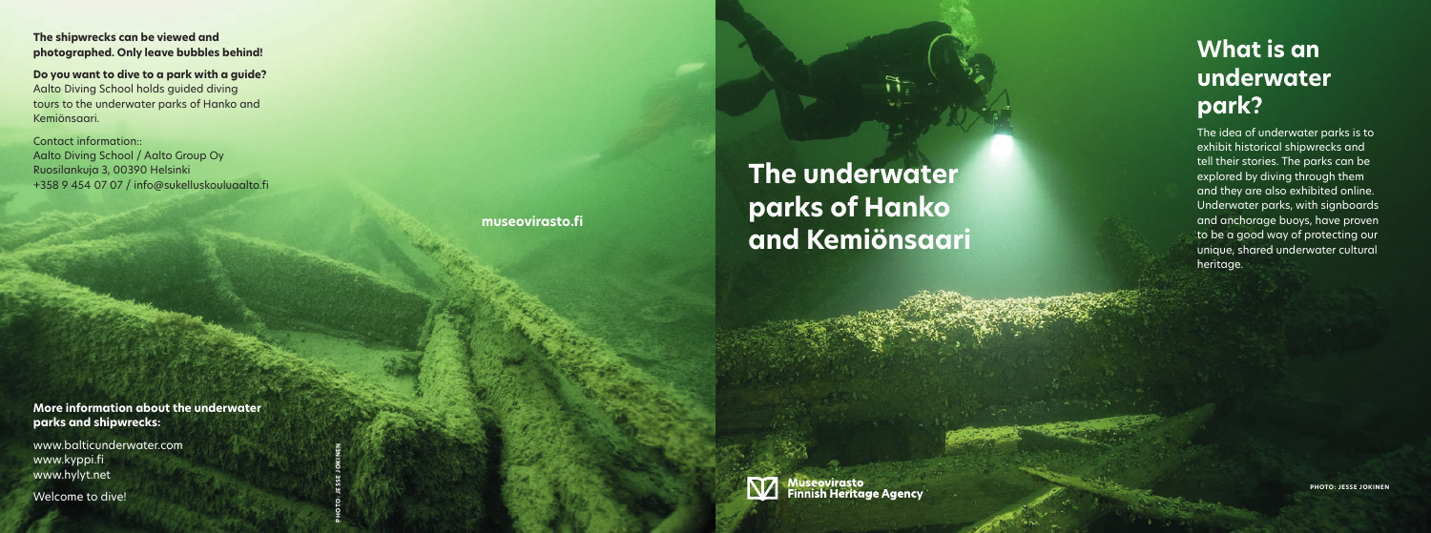# **The underwater parks of Hanko and Kemiönsaari**

## **What is an underwater park?**

The idea of underwater parks is to exhibit historical shipwrecks and tell their stories. The parks can be explored by diving through them and they are also exhibited online. Underwater parks, with signboards and anchorage buoys, have proven to be a good way of protecting our unique, shared underwater cultural heritage.

**The shipwrecks can be viewed and photographed. Only leave bubbles behind!**

**Do you want to dive to a park with a guide?** Aalto Diving School holds guided diving tours to the underwater parks of Hanko and Kemiönsaari.

Contact information:: Aalto Diving School / Aalto Group Oy Ruosilankuja 3, 00390 Helsinki +358 9 454 07 07 / info@sukelluskouluaalto.fi

**More information about the underwater parks and shipwrecks:** 

www.balticunderwater.com www.kyppi.fi www.hylyt.net

Welcome to dive!



**museovirasto.fi**

**PHOTO: JESSE JOKINEN**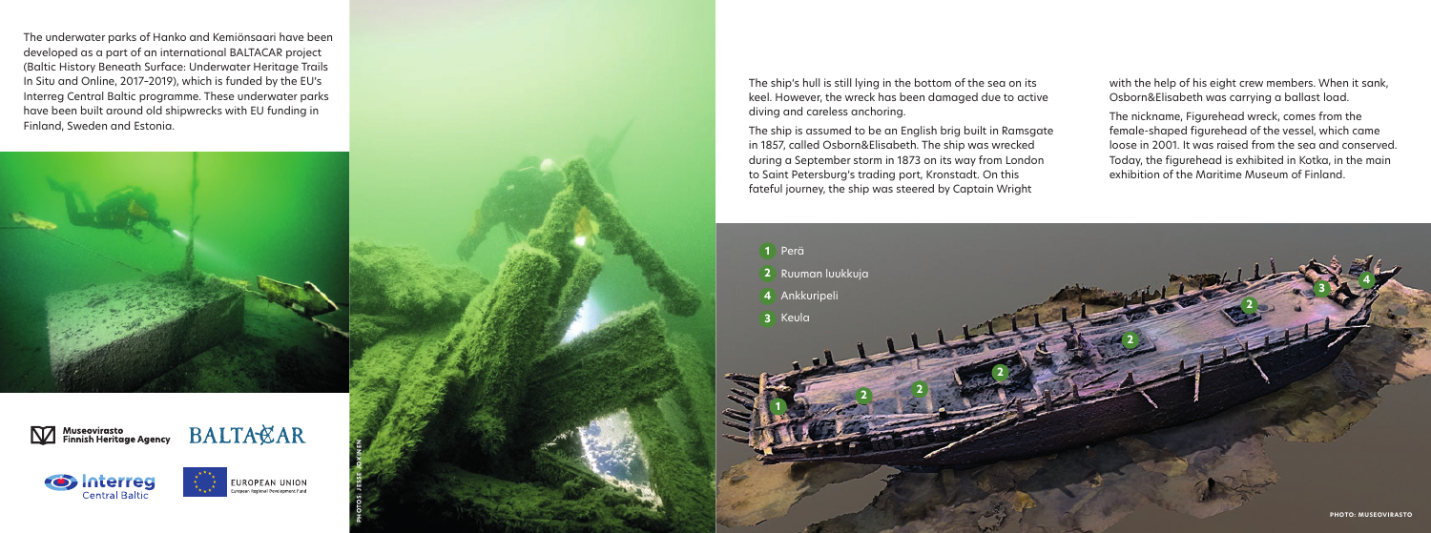The underwater parks of Hanko and Kemiönsaari have been developed as a part of an international BALTACAR project (Baltic History Beneath Surface: Underwater Heritage Trails In Situ and Online, 2017–2019), which is funded by the EU's Interreg Central Baltic programme. These underwater parks have been built around old shipwrecks with EU funding in Finland, Sweden and Estonia.



Museovirasto<br>Finnish Heritage Agency







**PHOTOS: JESSE JOKINEN**

The ship's hull is still lying in the bottom of the sea on its keel. However, the wreck has been damaged due to active diving and careless anchoring.



The ship is assumed to be an English brig built in Ramsgate in 1857, called Osborn&Elisabeth. The ship was wrecked during a September storm in 1873 on its way from London to Saint Petersburg's trading port, Kronstadt. On this fateful journey, the ship was steered by Captain Wright

with the help of his eight crew members. When it sank, Osborn&Elisabeth was carrying a ballast load.

The nickname, Figurehead wreck, comes from the female-shaped figurehead of the vessel, which came loose in 2001. It was raised from the sea and conserved. Today, the figurehead is exhibited in Kotka, in the main exhibition of the Maritime Museum of Finland.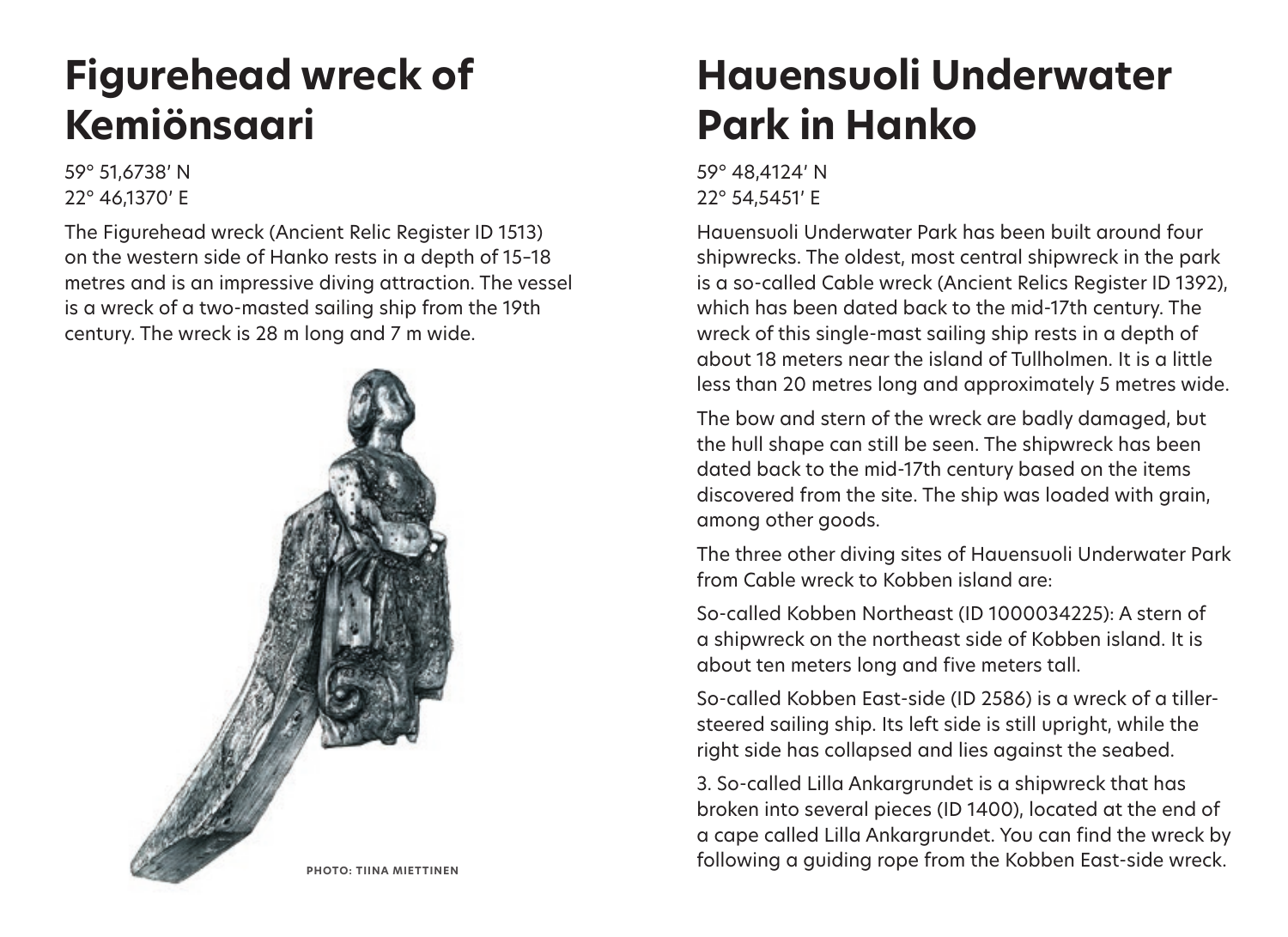## **Figurehead wreck of Kemiönsaari**

59° 51,6738' N 22° 46,1370' E

The Figurehead wreck (Ancient Relic Register ID 1513) on the western side of Hanko rests in a depth of 15–18 metres and is an impressive diving attraction. The vessel is a wreck of a two-masted sailing ship from the 19th century. The wreck is 28 m long and 7 m wide.



## **Hauensuoli Underwater Park in Hanko**

59° 48,4124' N 22° 54,5451' E

Hauensuoli Underwater Park has been built around four shipwrecks. The oldest, most central shipwreck in the park is a so-called Cable wreck (Ancient Relics Register ID 1392), which has been dated back to the mid-17th century. The wreck of this single-mast sailing ship rests in a depth of about 18 meters near the island of Tullholmen. It is a little less than 20 metres long and approximately 5 metres wide.

The bow and stern of the wreck are badly damaged, but the hull shape can still be seen. The shipwreck has been dated back to the mid-17th century based on the items discovered from the site. The ship was loaded with grain, among other goods.

The three other diving sites of Hauensuoli Underwater Park from Cable wreck to Kobben island are:

So-called Kobben Northeast (ID 1000034225): A stern of a shipwreck on the northeast side of Kobben island. It is about ten meters long and five meters tall.

So-called Kobben East-side (ID 2586) is a wreck of a tillersteered sailing ship. Its left side is still upright, while the right side has collapsed and lies against the seabed.

3. So-called Lilla Ankargrundet is a shipwreck that has broken into several pieces (ID 1400), located at the end of a cape called Lilla Ankargrundet. You can find the wreck by PHOTO: TIINA MIETTINEN<br> **PHOTO: TIINA MIETTINEN**